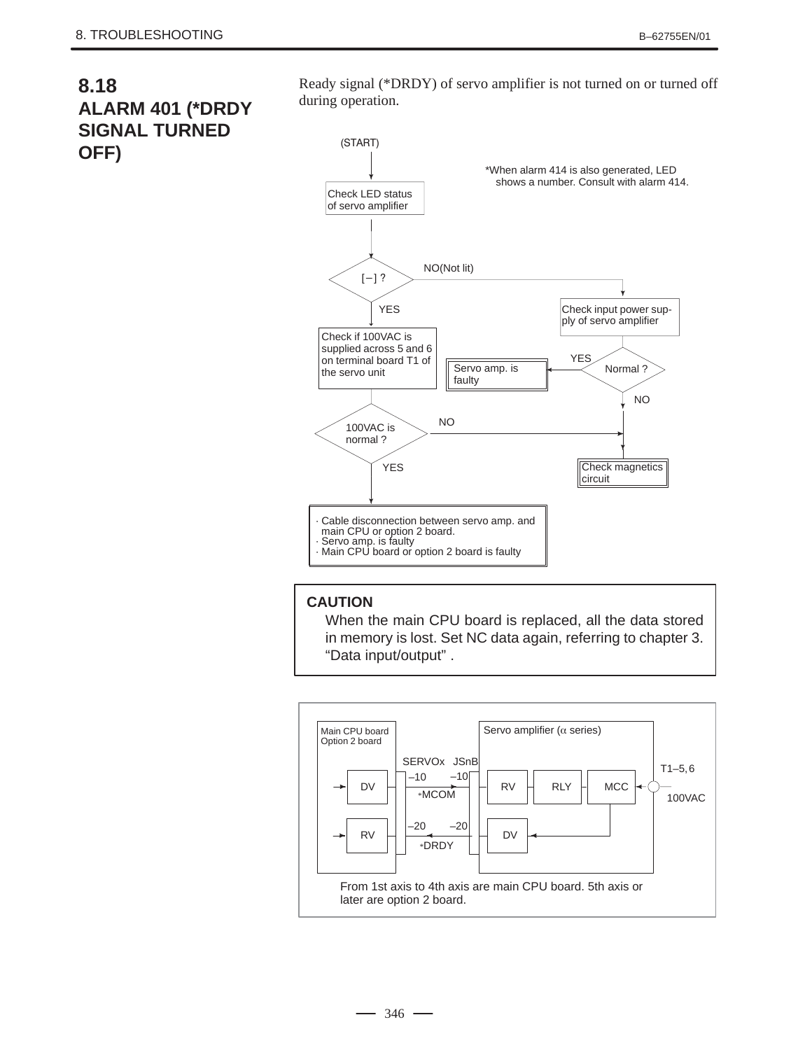## **8.18 ALARM 401 (\*DRDY SIGNAL TURNED OFF)**

Ready signal (\*DRDY) of servo amplifier is not turned on or turned off during operation.



## **CAUTION**

When the main CPU board is replaced, all the data stored in memory is lost. Set NC data again, referring to chapter 3. "Data input/output" .



 $-346$  —